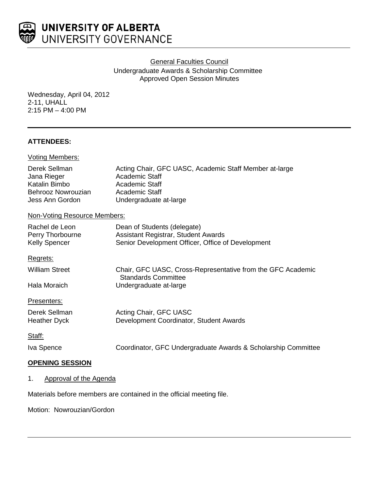

UNIVERSITY OF ALBERTA UNIVERSITY GOVERNANCE

General Faculties Council

Undergraduate Awards & Scholarship Committee Approved Open Session Minutes

Wednesday, April 04, 2012 2-11, UHALL 2:15 PM – 4:00 PM

# **ATTENDEES:**

| Voting Members:                                                                        |                                                                                                                                               |
|----------------------------------------------------------------------------------------|-----------------------------------------------------------------------------------------------------------------------------------------------|
| Derek Sellman<br>Jana Rieger<br>Katalin Bimbo<br>Behrooz Nowrouzian<br>Jess Ann Gordon | Acting Chair, GFC UASC, Academic Staff Member at-large<br>Academic Staff<br>Academic Staff<br><b>Academic Staff</b><br>Undergraduate at-large |
| Non-Voting Resource Members:                                                           |                                                                                                                                               |
| Rachel de Leon<br>Perry Thorbourne<br><b>Kelly Spencer</b>                             | Dean of Students (delegate)<br>Assistant Registrar, Student Awards<br>Senior Development Officer, Office of Development                       |
| Regrets:                                                                               |                                                                                                                                               |
| <b>William Street</b>                                                                  | Chair, GFC UASC, Cross-Representative from the GFC Academic<br><b>Standards Committee</b>                                                     |
| Hala Moraich                                                                           | Undergraduate at-large                                                                                                                        |
| Presenters:                                                                            |                                                                                                                                               |
| Derek Sellman<br><b>Heather Dyck</b>                                                   | Acting Chair, GFC UASC<br>Development Coordinator, Student Awards                                                                             |
| Staff:                                                                                 |                                                                                                                                               |
| Iva Spence                                                                             | Coordinator, GFC Undergraduate Awards & Scholarship Committee                                                                                 |
| <b>OPENING SESSION</b>                                                                 |                                                                                                                                               |

# 1. Approval of the Agenda

Materials before members are contained in the official meeting file.

Motion: Nowrouzian/Gordon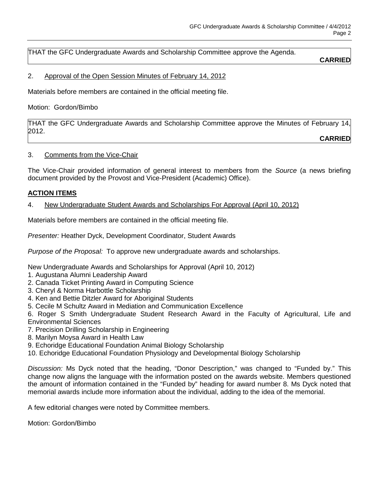THAT the GFC Undergraduate Awards and Scholarship Committee approve the Agenda.

## **CARRIED**

## 2. Approval of the Open Session Minutes of February 14, 2012

Materials before members are contained in the official meeting file.

Motion: Gordon/Bimbo

THAT the GFC Undergraduate Awards and Scholarship Committee approve the Minutes of February 14, 2012.

**CARRIED**

## 3. Comments from the Vice-Chair

The Vice-Chair provided information of general interest to members from the *Source* (a news briefing document provided by the Provost and Vice-President (Academic) Office).

## **ACTION ITEMS**

#### 4. New Undergraduate Student Awards and Scholarships For Approval (April 10, 2012)

Materials before members are contained in the official meeting file.

*Presenter:* Heather Dyck, Development Coordinator, Student Awards

*Purpose of the Proposal:* To approve new undergraduate awards and scholarships.

New Undergraduate Awards and Scholarships for Approval (April 10, 2012)

- 1. Augustana Alumni Leadership Award
- 2. Canada Ticket Printing Award in Computing Science
- 3. Cheryl & Norma Harbottle Scholarship
- 4. Ken and Bettie Ditzler Award for Aboriginal Students
- 5. Cecile M Schultz Award in Mediation and Communication Excellence

6. Roger S Smith Undergraduate Student Research Award in the Faculty of Agricultural, Life and Environmental Sciences

- 7. Precision Drilling Scholarship in Engineering
- 8. Marilyn Moysa Award in Health Law
- 9. Echoridge Educational Foundation Animal Biology Scholarship
- 10. Echoridge Educational Foundation Physiology and Developmental Biology Scholarship

*Discussion:* Ms Dyck noted that the heading, "Donor Description," was changed to "Funded by." This change now aligns the language with the information posted on the awards website. Members questioned the amount of information contained in the "Funded by" heading for award number 8. Ms Dyck noted that memorial awards include more information about the individual, adding to the idea of the memorial.

A few editorial changes were noted by Committee members.

Motion: Gordon/Bimbo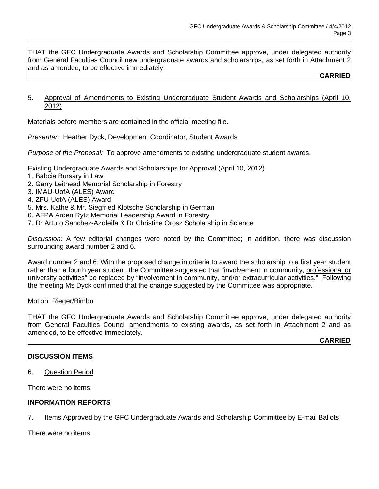THAT the GFC Undergraduate Awards and Scholarship Committee approve, under delegated authority from General Faculties Council new undergraduate awards and scholarships, as set forth in Attachment 2 and as amended, to be effective immediately.

#### **CARRIED**

5. Approval of Amendments to Existing Undergraduate Student Awards and Scholarships (April 10, 2012)

Materials before members are contained in the official meeting file.

*Presenter:* Heather Dyck, Development Coordinator, Student Awards

*Purpose of the Proposal:* To approve amendments to existing undergraduate student awards.

Existing Undergraduate Awards and Scholarships for Approval (April 10, 2012)

- 1. Babcia Bursary in Law
- 2. Garry Leithead Memorial Scholarship in Forestry
- 3. IMAU-UofA (ALES) Award
- 4. ZFU-UofA (ALES) Award
- 5. Mrs. Kathe & Mr. Siegfried Klotsche Scholarship in German
- 6. AFPA Arden Rytz Memorial Leadership Award in Forestry
- 7. Dr Arturo Sanchez-Azofeifa & Dr Christine Orosz Scholarship in Science

*Discussion:* A few editorial changes were noted by the Committee; in addition, there was discussion surrounding award number 2 and 6.

Award number 2 and 6: With the proposed change in criteria to award the scholarship to a first year student rather than a fourth year student, the Committee suggested that "involvement in community, professional or university activities" be replaced by "involvement in community, and/or extracurricular activities." Following the meeting Ms Dyck confirmed that the change suggested by the Committee was appropriate.

Motion: Rieger/Bimbo

THAT the GFC Undergraduate Awards and Scholarship Committee approve, under delegated authority from General Faculties Council amendments to existing awards, as set forth in Attachment 2 and as amended, to be effective immediately.

**CARRIED**

#### **DISCUSSION ITEMS**

6. Question Period

There were no items.

## **INFORMATION REPORTS**

## 7. Items Approved by the GFC Undergraduate Awards and Scholarship Committee by E-mail Ballots

There were no items.